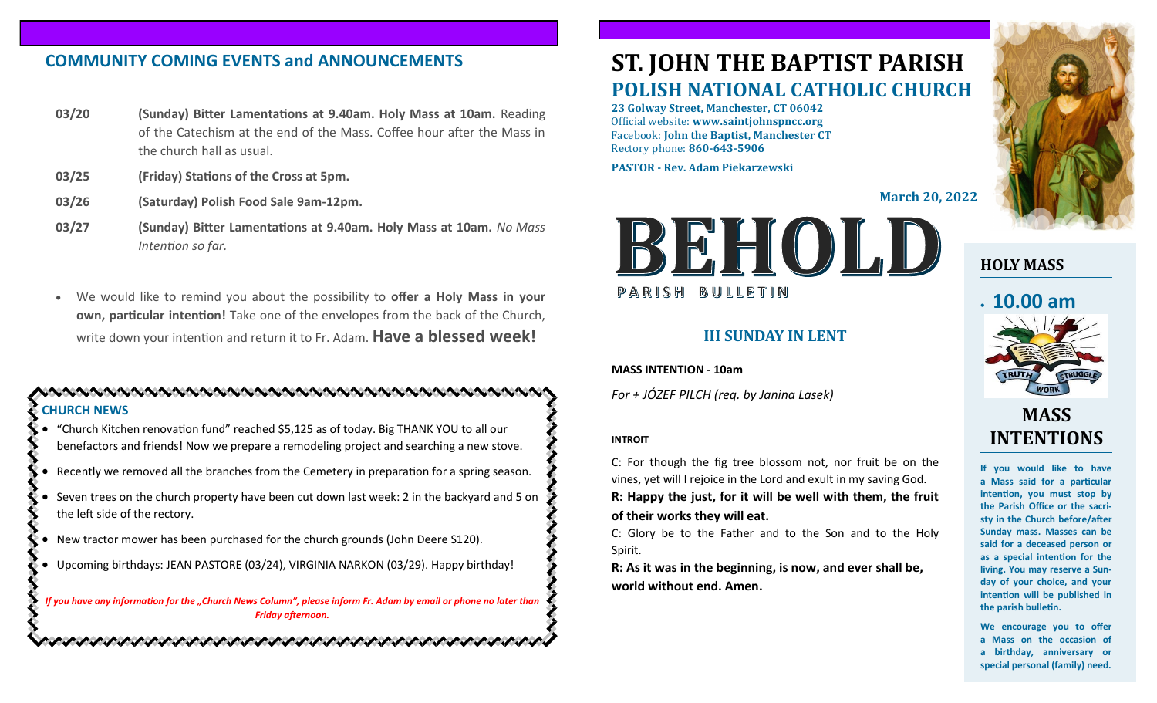# **COMMUNITY COMING EVENTS and ANNOUNCEMENTS**

- **03/20 (Sunday) Bitter Lamentations at 9.40am. Holy Mass at 10am.** Reading of the Catechism at the end of the Mass. Coffee hour after the Mass in the church hall as usual.
- **03/25 (Friday) Stations of the Cross at 5pm.**
- **03/26 (Saturday) Polish Food Sale 9am-12pm.**
- **03/27 (Sunday) Bitter Lamentations at 9.40am. Holy Mass at 10am.** *No Mass Intention so far.*
- We would like to remind you about the possibility to **offer a Holy Mass in your own, particular intention!** Take one of the envelopes from the back of the Church, write down your intention and return it to Fr. Adam. **Have a blessed week!**

## **CHURCH NEWS**

• "Church Kitchen renovation fund" reached \$5,125 as of today. Big THANK YOU to all our benefactors and friends! Now we prepare a remodeling project and searching a new stove.

- Recently we removed all the branches from the Cemetery in preparation for a spring season.
- Seven trees on the church property have been cut down last week: 2 in the backyard and 5 on the left side of the rectory.
- New tractor mower has been purchased for the church grounds (John Deere S120).
- Upcoming birthdays: JEAN PASTORE (03/24), VIRGINIA NARKON (03/29). Happy birthday!

いんめいかい しゅうけいかいかい しゅうきょうしょう じょうきょうしょう きょうきょうしょうじょう

*If you have any information for the "Church News Column", please inform Fr. Adam by email or phone no later than Friday afternoon.*

# **ST. JOHN THE BAPTIST PARISH POLISH NATIONAL CATHOLIC CHURCH**

**23 Golway Street, Manchester, CT 06042** Official website: **www.saintjohnspncc.org** Facebook: **John the Baptist, Manchester CT** Rectory phone: **860-643-5906** 

**PASTOR - Rev. Adam Piekarzewski**

**March 20, 2022**



## **III SUNDAY IN LENT**

**MASS INTENTION - 10am**

*For + JÓZEF PILCH (req. by Janina Lasek)*

### **INTROIT**

C: For though the fig tree blossom not, nor fruit be on the vines, yet will I rejoice in the Lord and exult in my saving God. **R: Happy the just, for it will be well with them, the fruit of their works they will eat.**

C: Glory be to the Father and to the Son and to the Holy Spirit.

**R: As it was in the beginning, is now, and ever shall be, world without end. Amen.**



# **HOLY MASS**

# • **10.00 am**



# **MASS INTENTIONS**

**If you would like to have a Mass said for a particular intention, you must stop by the Parish Office or the sacristy in the Church before/after Sunday mass. Masses can be said for a deceased person or as a special intention for the living. You may reserve a Sunday of your choice, and your intention will be published in the parish bulletin.**

**We encourage you to offer a Mass on the occasion of a birthday, anniversary or special personal (family) need.**